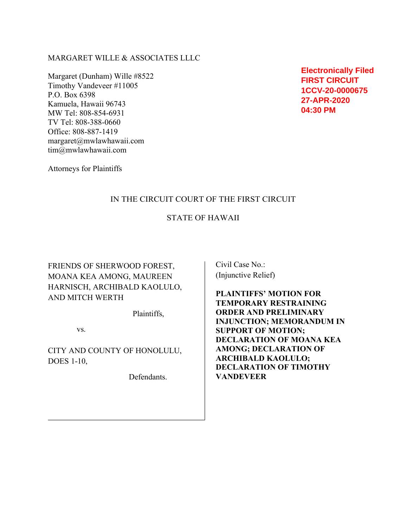### MARGARET WILLE & ASSOCIATES LLLC

Margaret (Dunham) Wille #8522 Timothy Vandeveer #11005 P.O. Box 6398 Kamuela, Hawaii 96743 MW Tel: 808-854-6931 TV Tel: 808-388-0660 Office: 808-887-1419 margaret@mwlawhawaii.com tim@mwlawhawaii.com

**Electronically Filed FIRST CIRCUIT 1CCV-20-0000675 27-APR-2020 04:30 PM**

Attorneys for Plaintiffs

## IN THE CIRCUIT COURT OF THE FIRST CIRCUIT

## STATE OF HAWAII

FRIENDS OF SHERWOOD FOREST, MOANA KEA AMONG, MAUREEN HARNISCH, ARCHIBALD KAOLULO, AND MITCH WERTH

Plaintiffs,

vs.

CITY AND COUNTY OF HONOLULU, DOES 1-10,

Defendants.

Civil Case No.: (Injunctive Relief)

**PLAINTIFFS' MOTION FOR TEMPORARY RESTRAINING ORDER AND PRELIMINARY INJUNCTION; MEMORANDUM IN SUPPORT OF MOTION; DECLARATION OF MOANA KEA AMONG; DECLARATION OF ARCHIBALD KAOLULO; DECLARATION OF TIMOTHY VANDEVEER**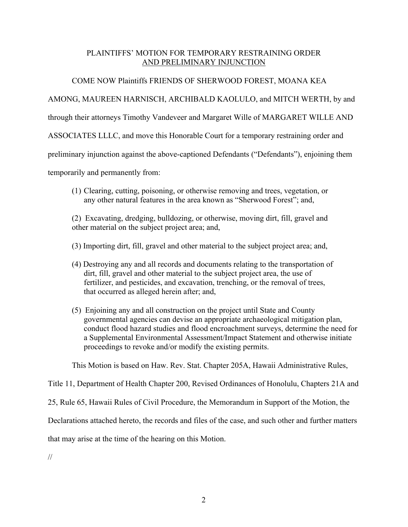# PLAINTIFFS' MOTION FOR TEMPORARY RESTRAINING ORDER AND PRELIMINARY INJUNCTION

# COME NOW Plaintiffs FRIENDS OF SHERWOOD FOREST, MOANA KEA

# AMONG, MAUREEN HARNISCH, ARCHIBALD KAOLULO, and MITCH WERTH, by and

through their attorneys Timothy Vandeveer and Margaret Wille of MARGARET WILLE AND

ASSOCIATES LLLC, and move this Honorable Court for a temporary restraining order and

preliminary injunction against the above-captioned Defendants ("Defendants"), enjoining them

temporarily and permanently from:

(1) Clearing, cutting, poisoning, or otherwise removing and trees, vegetation, or any other natural features in the area known as "Sherwood Forest"; and,

(2) Excavating, dredging, bulldozing, or otherwise, moving dirt, fill, gravel and other material on the subject project area; and,

(3) Importing dirt, fill, gravel and other material to the subject project area; and,

- (4) Destroying any and all records and documents relating to the transportation of dirt, fill, gravel and other material to the subject project area, the use of fertilizer, and pesticides, and excavation, trenching, or the removal of trees, that occurred as alleged herein after; and,
- (5) Enjoining any and all construction on the project until State and County governmental agencies can devise an appropriate archaeological mitigation plan, conduct flood hazard studies and flood encroachment surveys, determine the need for a Supplemental Environmental Assessment/Impact Statement and otherwise initiate proceedings to revoke and/or modify the existing permits.

This Motion is based on Haw. Rev. Stat. Chapter 205A, Hawaii Administrative Rules,

Title 11, Department of Health Chapter 200, Revised Ordinances of Honolulu, Chapters 21A and

25, Rule 65, Hawaii Rules of Civil Procedure, the Memorandum in Support of the Motion, the

Declarations attached hereto, the records and files of the case, and such other and further matters

that may arise at the time of the hearing on this Motion.

//